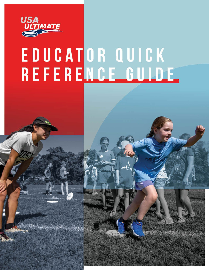

# EDUCATOR QUICK REFERENCE GUIDE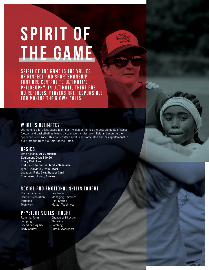# **SPIRIT OF the game**

SPIRIT OF THE GAME IS THE VALUES OF RESPECT AND SPORTSMANSHIP THAT ARE CENTRAL TO ULTIMATE'S PHILOSOPHY. IN ULTIMATE, THERE ARE NO REFEREES. PLAYERS ARE RESPONSIBLE FOR MAKING THEIR OWN CALLS.

### What is Ultimate?

Ultimate is a fun, fast-paced team sport which combines the best elements of soccer, football and basketball as teams try to move the disc down field and score in their opponent's end zone. This non-contact sport is self-officiated and has sportsmanship built into the rules via Spirit of the Game.

### **BASICS**

Time needed: **30-60 minutes** Equipment Cost: **\$10-20**  Injury Risk: **Low**  Endurance Required: **Aerobic/Anaerobic**  Type – Individual/Team: **Team** Location: **Field, Gym, Grass or Sand**  Equipment: **1 disc, 8 cones**

### Social and Emotional Skills Taught

**Communication** Conflict Resolution Patience **Teamwork** 

Leadership Managing Emotions Goal Setting Mental Toughness

### Physical Skills Taught

Running Form Jumping Speed and Agility Body Control

Change of Direction Throwing Catching Spatial Awareness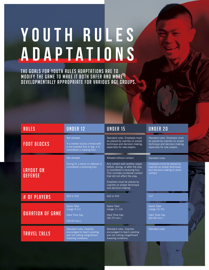# YOUTH RULES **Adaptations**

THE GOALS FOR YOUTH RULES ADAPTATIONS ARE TO MODIFY THE GAME TO MAKE IT BOTH SAFER AND MORE DEVELOPMENTALLY APPROPRIATE FOR VARIOUS AGE GROUPS.

| <b>RULES</b>                | <b>UNDER 12</b>                                                                                                   | <b>UNDER 15</b>                                                                                                                                                                                                                                                                               | <b>UNDER 20</b>                                                                                                                  |
|-----------------------------|-------------------------------------------------------------------------------------------------------------------|-----------------------------------------------------------------------------------------------------------------------------------------------------------------------------------------------------------------------------------------------------------------------------------------------|----------------------------------------------------------------------------------------------------------------------------------|
| <b>FOOT BLOCKS</b>          | Not allowed.<br>If a marker blocks a throw with<br>a non-planted foot or leg, it is<br>considered a marking foul. | Standard rules. Emphasis must<br>be placed by coaches on proper<br>technique and decision-making,<br>especially for new players.                                                                                                                                                              | Standard rules. Emphasis must<br>be placed by coaches on proper<br>technique and decision-making,<br>especially for new players. |
| LAYOUT ON<br><b>DEFENSE</b> | Not allowed.<br>Diving for a block on defense is<br>considered a receiving foul.                                  | Allowed without contact.<br>Any contact with another player<br>before, during, or after the play<br>is considered a receiving foul.<br>This includes incidental contact<br>that did not affect the play.<br>Emphasis must be placed by<br>coaches on proper technique<br>and decision-making. | Standard rules.<br>Emphasis must be placed by<br>coaches on proper technique<br>and decision-making to avoid<br>contact.         |
| # OF PLAYERS                | 4v4 or 3v3                                                                                                        | 6y6 or 5y5                                                                                                                                                                                                                                                                                    | 7v7                                                                                                                              |
| <b>DURATION OF GAME</b>     | <b>Game Total</b><br>$(range 9-11)$<br>Hard Time Cap<br>(45-60 min.)                                              | <b>Game Total</b><br>(range $11-13$ )<br>Hard Time Cap<br>$(60-75$ min.)                                                                                                                                                                                                                      | <b>Game Total</b><br>(range 13-15)<br>Hard Time Cap<br>$(60-90$ min.)                                                            |
| <b>TRAVEL CALLS</b>         | Standard rules, Coaches<br>encouraged to teach pivoting<br>and not calling insignificant<br>traveling violations. | Standard rules, Coaches<br>encouraged to teach pivoting<br>and not calling insignificant<br>traveling violations.                                                                                                                                                                             | Standard rules                                                                                                                   |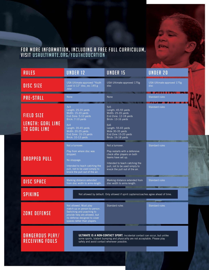### FOR MORE INFORMATION, INCLUDING A FREE FULL CURRICULUM, visit usaultimate.org/youtheducation

| <b>RULES</b>                                                         | <b>UNDER 12</b>                                                                                                                                                                                  | <b>UNDER 15</b>                                                                                                                                                                                              | <b>UNDER 20</b>                         |  |
|----------------------------------------------------------------------|--------------------------------------------------------------------------------------------------------------------------------------------------------------------------------------------------|--------------------------------------------------------------------------------------------------------------------------------------------------------------------------------------------------------------|-----------------------------------------|--|
| <b>DISC SIZE</b>                                                     | USA Ultimate-approved "Youth<br>Level U-12" disc, ex: 145 g<br><b>Jstar</b>                                                                                                                      | USA Ultimate-approved 175g<br>disc                                                                                                                                                                           | USA Ultimate-approved 175g<br>disc<br>. |  |
| <b>PRE-STALL</b>                                                     | <b>None</b>                                                                                                                                                                                      | None                                                                                                                                                                                                         | <b>Standard rules</b><br><b>TALLET</b>  |  |
| <b>FIELD SIZE</b><br><b>LENGTH: GOAL LINE</b><br><b>TO GOAL LINE</b> | 3v3<br>Length: 25-35 yards<br>Width: 15-20 yards<br>End Zone: 5-10 yards<br>Brick: 7-10 yards<br>4v4<br>Length: 35-45 yards<br>Width: 20-25 yards<br>End Zone: 10-15 yards<br>Brick: 10-13 yards | 5v5<br>Length: 45-55 yards<br>Width: 25-35 yards<br>End Zone: 12-18 yards<br>Brick: 13-16 yards<br>6v6<br>Length: 55-65 yards<br>Wide 30-35 yards<br>End Zone 15-20 yards<br>Brick: 16-18 yards              | <b>Standard rules</b>                   |  |
| <b>DROPPED PULL</b>                                                  | Not a turnover.<br>Play from where disc was<br>dropped.<br>No stoppage.<br>Intended to teach catching the<br>pull, not to be used simply to<br>knock the pull out of the air.                    | Not a turnover.<br>Play restarts with a defensive<br>check after players on both<br>teams have set up.<br>Intended to teach catching the<br>pull, not to be used simply to<br>knock the pull out of the air. | Standard rules                          |  |
| <b>DISC SPACE</b>                                                    | Marking distance extended<br>from disc width to arms-length.                                                                                                                                     | Marking distance extended from<br>disc width to arms-length.                                                                                                                                                 | <b>Standard rules</b>                   |  |
| <b>SPIKING</b>                                                       | Not allowed by default. Only allowed if spirit captains/coaches agree ahead of time.                                                                                                             |                                                                                                                                                                                                              |                                         |  |
| <b>ZONE DEFENSE</b>                                                  | Not allowed. Must play<br>match-up or person-to-person.<br>Switching and poaching to<br>provide help are allowed, but<br>no defense designed to cover<br>spaces rather than players.             | Standard rules                                                                                                                                                                                               | <b>Standard rules</b>                   |  |
| DANGEROUS PLAY/<br><b>RECEIVING FOULS</b>                            | safely and avoid contact whenever possible.                                                                                                                                                      | <b>ULTIMATE IS A NON-CONTACT SPORT.</b> Incidental contact can occur, but unlike<br>some sports, blatant bumping and physicality are not acceptable. Please play                                             |                                         |  |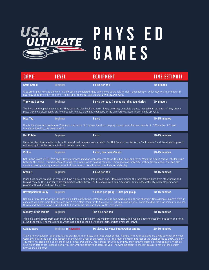

| GAME                                                                                                                                                                                                                                                                                                                                                                                                                                                                                                                                                                                                                                     | LEVEL                       | EQUIPMENT                                                                                                                                                                                                                                                                       | <b>TIME ESTIMATE</b> |  |  |
|------------------------------------------------------------------------------------------------------------------------------------------------------------------------------------------------------------------------------------------------------------------------------------------------------------------------------------------------------------------------------------------------------------------------------------------------------------------------------------------------------------------------------------------------------------------------------------------------------------------------------------------|-----------------------------|---------------------------------------------------------------------------------------------------------------------------------------------------------------------------------------------------------------------------------------------------------------------------------|----------------------|--|--|
| <b>Gotta Catch!</b>                                                                                                                                                                                                                                                                                                                                                                                                                                                                                                                                                                                                                      | <b>Beginner</b>             | 1 disc per pair                                                                                                                                                                                                                                                                 | 10 minutes           |  |  |
| Kids are in pairs tossing the disc. If their pass is completed, they take a step to the left (or right, depending on which way you're oriented). If<br>not, they go to the end of the line. The first pair to make it all the way down the gym wins.                                                                                                                                                                                                                                                                                                                                                                                     |                             |                                                                                                                                                                                                                                                                                 |                      |  |  |
| <b>Throwing Contest</b>                                                                                                                                                                                                                                                                                                                                                                                                                                                                                                                                                                                                                  | <b>Beginner</b>             | 1 disc per pair, 4 cones marking boundaries                                                                                                                                                                                                                                     | 10 minutes           |  |  |
|                                                                                                                                                                                                                                                                                                                                                                                                                                                                                                                                                                                                                                          |                             | Two kids stand opposite each other. They pass the disc back and forth. Every time they complete a pass, they take a step back. If they drop a<br>pass, they step closer together. The first pair to cross a defined boundary, or the pair furthest apart when time is up, wins. |                      |  |  |
| <b>Disc Tag</b>                                                                                                                                                                                                                                                                                                                                                                                                                                                                                                                                                                                                                          | <b>Beginner</b>             | 1 disc                                                                                                                                                                                                                                                                          | 10-15 minutes        |  |  |
| Divide the class into two teams. The team that is not "it" passes the disc, keeping it away from the team who is "it." When the "it" team<br>intercepts the disc, the teams switch.                                                                                                                                                                                                                                                                                                                                                                                                                                                      |                             |                                                                                                                                                                                                                                                                                 |                      |  |  |
| <b>Hot Potato</b>                                                                                                                                                                                                                                                                                                                                                                                                                                                                                                                                                                                                                        | <b>Beginner</b>             | 1 disc                                                                                                                                                                                                                                                                          | 10-15 minutes        |  |  |
| Have the class form a wide circle, with several feet between each student. For Hot Potato, the disc is the "hot potato," and the students pass it,<br>not wanting to be the last one to hold it when time is up.                                                                                                                                                                                                                                                                                                                                                                                                                         |                             |                                                                                                                                                                                                                                                                                 |                      |  |  |
| <b>Pickle</b>                                                                                                                                                                                                                                                                                                                                                                                                                                                                                                                                                                                                                            | <b>Beginner</b>             | 1 disc, two cones/bases                                                                                                                                                                                                                                                         | 10-15 minutes        |  |  |
| Set up two bases 20-30 feet apart. Have a thrower stand at each base and throw the disc back and forth. When the disc is thrown, students run<br>between the bases. Throwers attempt to tag the runners while holding the disc. The runners are only safe, if they are on a base. You can also<br>create a base by making a small box out of four cones; this will allow more kids to safely play.                                                                                                                                                                                                                                       |                             |                                                                                                                                                                                                                                                                                 |                      |  |  |
| Stash It                                                                                                                                                                                                                                                                                                                                                                                                                                                                                                                                                                                                                                 | <b>Beginner</b>             | 1 disc per pair                                                                                                                                                                                                                                                                 | 10-15 minutes        |  |  |
| Place hula hoops around the room and have a disc in the middle of each one. Players run around the room taking discs from other hoops and<br>tossing them to their partner to get them back to their hoop. The first group with four discs wins. To increase difficulty, allow players to tag<br>players with a disc and take their disc.                                                                                                                                                                                                                                                                                                |                             |                                                                                                                                                                                                                                                                                 |                      |  |  |
| <b>Developmental Relay</b>                                                                                                                                                                                                                                                                                                                                                                                                                                                                                                                                                                                                               | <b>Beginner</b>             | 4 cones per group, 1 disc per group                                                                                                                                                                                                                                             | 10-15 minutes        |  |  |
| Design a relay race involving ultimate skills such as throwing, catching, running backwards, jumping and shuffling. One example, players start at<br>cone and do a star jump (burpee) and say, "I'm a star", then run to the cone (15 yd from starting line), catch the disc the next person in line has<br>thrown and then sideways shuffle back to line with the disc and high five the next player.                                                                                                                                                                                                                                   |                             |                                                                                                                                                                                                                                                                                 |                      |  |  |
| <b>Monkey in the Middle</b>                                                                                                                                                                                                                                                                                                                                                                                                                                                                                                                                                                                                              | <b>Beginner</b>             | One disc per pair                                                                                                                                                                                                                                                               | 10-15 minutes        |  |  |
| Two kids stand across from each other, and the third is the mark (the monkey in the middle). The two kids have to pass the disc back and forth,<br>around the mark. The mark runs to whichever side has the disc to mark them. Switch every 10 throws.                                                                                                                                                                                                                                                                                                                                                                                   |                             |                                                                                                                                                                                                                                                                                 |                      |  |  |
| <b>Galaxy Wars</b>                                                                                                                                                                                                                                                                                                                                                                                                                                                                                                                                                                                                                       | <b>Beginner to Advanced</b> | 16 discs, 12 water bottles/other targets                                                                                                                                                                                                                                        | 20-30 minutes        |  |  |
| There are four galaxies, each one has its own team, four discs, and three water bottles. Players from other galaxies are trying to knock over your<br>water bottle with the disc, but nobody can get within a foot of the water bottle. You must be within five feet of the water bottle to throw the disc.<br>You may only pick a disc up off the ground in your own galaxy. You cannot run with it, and you may throw to people in other galaxies. When all<br>your water bottles are knocked down, you join with the galaxy that defeated you. The winning galaxy is the last galaxy to have all their water<br>bottles knocked down. |                             |                                                                                                                                                                                                                                                                                 |                      |  |  |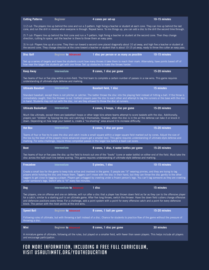| <b>Cutting Patterns</b>                                                                                                                                                                                                                                                                                                                                                                                                                                                                                                     | <b>Beginner</b>                                      | 4 cones per set-up                                                                                                                                                                                                                                                                                        | 10-15 minutes |  |  |
|-----------------------------------------------------------------------------------------------------------------------------------------------------------------------------------------------------------------------------------------------------------------------------------------------------------------------------------------------------------------------------------------------------------------------------------------------------------------------------------------------------------------------------|------------------------------------------------------|-----------------------------------------------------------------------------------------------------------------------------------------------------------------------------------------------------------------------------------------------------------------------------------------------------------|---------------|--|--|
| 1) Z cut-The players line up behind the cone and run a Z-pattern, high fiving a teacher or student at each cone. They can line up behind the last<br>cone, and run the drill in reverse when everyone is through. Repeat twice. To mix things up, you can add a disc to the drill the second time through.                                                                                                                                                                                                                  |                                                      |                                                                                                                                                                                                                                                                                                           |               |  |  |
| 2) 7 cut- Players line up behind the first cone and run a 7-pattern, high fiving a teacher or student at the second cone. Then they change<br>direction, cutting to space, and the teacher is there to throw them an easy pass.                                                                                                                                                                                                                                                                                             |                                                      |                                                                                                                                                                                                                                                                                                           |               |  |  |
|                                                                                                                                                                                                                                                                                                                                                                                                                                                                                                                             |                                                      | 3) In cut- Players line up at a cone. They then run toward a second cone placed diagonally about 10 yd away, and high five a teacher or student at<br>the second cone. They change direction at the cone toward a teacher or student that is about 10-15 yd away, ready to throw the cutter an easy pass. |               |  |  |
| <b>Disc Golf</b>                                                                                                                                                                                                                                                                                                                                                                                                                                                                                                            | <b>Beginner to Advanced</b>                          | 1 disc per person or as many as possible                                                                                                                                                                                                                                                                  | 10-15 minutes |  |  |
| Set up a series of targets and have the students count how many throws it take them to reach their mark. Alternately, have points based off of<br>how near the target the students get with one throw. Set up obstacles to make the throws harder.                                                                                                                                                                                                                                                                          |                                                      |                                                                                                                                                                                                                                                                                                           |               |  |  |
| <b>Keep Away</b>                                                                                                                                                                                                                                                                                                                                                                                                                                                                                                            | <b>Intermediate</b>                                  | 8 cones, 1 disc per game                                                                                                                                                                                                                                                                                  | 15-20 minutes |  |  |
|                                                                                                                                                                                                                                                                                                                                                                                                                                                                                                                             | understanding of ultimate-style defense and marking. | Two teams of four or five play within a mini-field. The first team to complete a certain number of passes in a row wins. This game requires                                                                                                                                                               |               |  |  |
| <b>Ultimate Baseball</b>                                                                                                                                                                                                                                                                                                                                                                                                                                                                                                    | <b>Intermediate</b>                                  | <b>Baseball field, 1 disc</b>                                                                                                                                                                                                                                                                             | 15 minutes    |  |  |
| Standard baseball, except there is not pitcher or catcher. The batter throws the disc into the playing field instead of hitting a ball. If the throw is<br>immediately caught, then the thrower is out. Outfield players pass the disc to each other and attempt to tag the runners or the base with the disc<br>in hand. Students may not run with the disc, nor are they allowed to throw the disc at runners.                                                                                                            |                                                      |                                                                                                                                                                                                                                                                                                           |               |  |  |
| <b>Ultimate Basketball</b>                                                                                                                                                                                                                                                                                                                                                                                                                                                                                                  | Intermediate                                         | 4 cones, 2 hoops, 1 disc per game                                                                                                                                                                                                                                                                         | 15-20 minutes |  |  |
| Much like ultimate, except there are basketball hoops or other large bins where teams attempt to score baskets with the disc. Additionally,<br>players can "dribble" by tossing the disc and catching it themselves. However, when the disc is in the air the defense can take it or knock it<br>down. Depending on how large your basket is, create a "no-shooting" area around it to increase difficulty.                                                                                                                 |                                                      |                                                                                                                                                                                                                                                                                                           |               |  |  |
| <b>Hot Box</b>                                                                                                                                                                                                                                                                                                                                                                                                                                                                                                              | <b>Intermediate</b>                                  | 8 cones, 1 disc per game                                                                                                                                                                                                                                                                                  | 15-20 minutes |  |  |
| Teams of four or five try to pass the disc and catch inside a small square within a larger square field marked out by cones. Adjust the size of<br>the box by the level of the players (more advanced players get a smaller box). This game requires understanding of ultimate-style defense and<br>marking. For extra challenge, require three completed passes in the larger box before a team can score.                                                                                                                 |                                                      |                                                                                                                                                                                                                                                                                                           |               |  |  |
| <b>Boot</b>                                                                                                                                                                                                                                                                                                                                                                                                                                                                                                                 | <b>Intermediate</b>                                  | 8 cones, 1 disc, 4 water bottles per game                                                                                                                                                                                                                                                                 | 15-20 minutes |  |  |
|                                                                                                                                                                                                                                                                                                                                                                                                                                                                                                                             |                                                      | Two teams of four or five pass the disc up the field to knock out one of the "boots" (cone or water bottle) on either end of the field. Must take the<br>disc across the half-court line before scoring. This game requires understanding of ultimate-style defense and marking.                          |               |  |  |
| <b>Freezebee</b>                                                                                                                                                                                                                                                                                                                                                                                                                                                                                                            | <b>Intermediate</b>                                  | 5 pinnies, 1 disc                                                                                                                                                                                                                                                                                         | 10-15 minutes |  |  |
| Create a small box for the game to keep kids active and involved in the game. 5 people are "it" wearing pinnies, and they are trying to tag<br>players while holding the disc and freeze them. Taggers can't move with the disc in their hand, but they can throw the disc gently to the other<br>taggers to get close to tagging a player. Players get untagged by crawling under a frozen person's legs. You can't tag someone as they are crawling<br>under someone's legs. Switch who is "it" every two minutes.        |                                                      |                                                                                                                                                                                                                                                                                                           |               |  |  |
| <b>Dog</b>                                                                                                                                                                                                                                                                                                                                                                                                                                                                                                                  | Intermediate to Advanced                             | 1 disc                                                                                                                                                                                                                                                                                                    | 15 minutes    |  |  |
| Two players, one on offense and one on defense, will run after a disc that a player has thrown down field as far as they can to the offensive player<br>for a catch, similar to a starting pull in an ultimate game. After five long throws, switch the thrower. Have the down field cutters change offensive<br>and defensive positions every throw. For a challenge, add a point system with a point for every offensive catch and a point for every defensive<br>block. The person with the most points at the end wins. |                                                      |                                                                                                                                                                                                                                                                                                           |               |  |  |
| <b>Speed Ball</b>                                                                                                                                                                                                                                                                                                                                                                                                                                                                                                           | <b>Beginner to Advanced</b>                          | 8 cones, 1 ball per game                                                                                                                                                                                                                                                                                  | 15-20 minutes |  |  |
| Following rules of ultimate, but with throwing a ball instead of a disc. Chance for students to practice flow of the game without the pressure of<br>throwing a disc.                                                                                                                                                                                                                                                                                                                                                       |                                                      |                                                                                                                                                                                                                                                                                                           |               |  |  |
| <b>Mini</b>                                                                                                                                                                                                                                                                                                                                                                                                                                                                                                                 | <b>Beginner to Advanced</b>                          | 8 cones, 1 disc per game                                                                                                                                                                                                                                                                                  | 30 minutes    |  |  |
| A miniature game of ultimate, following all the rules, but played on a smaller field, with fewer than seven players. This helps include all players<br>and encourage participation.                                                                                                                                                                                                                                                                                                                                         |                                                      |                                                                                                                                                                                                                                                                                                           |               |  |  |
|                                                                                                                                                                                                                                                                                                                                                                                                                                                                                                                             |                                                      |                                                                                                                                                                                                                                                                                                           |               |  |  |

### FOR MORE INFORMATION, INCLUDING A FREE FULL CURRICULUM, visit usaultimate.org/youtheducation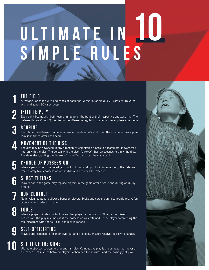# ULTIMATE IN **Simple Rules 10**

## THE FIELD **1**

A rectangular shape with end zones at each end. A regulation field is 70 yards by 40 yards, with end zones 20 yards deep.

## **2**

### INITIATE PLAY

Each point begins with both teams lining up on the front of their respective end-zone line. The defense throws ("pulls") the disc to the offense. A regulation game has seven players per team.

### S C O R I N G **3**

Each time the offense completes a pass in the defense's end zone, the offense scores a point. Play is initiated after each score.



**5** 

**7**

**10**

## **MOVEMENT OF THE DISC**

The disc may be advanced in any direction by completing a pass to a teammate. Players may not run with the disc. The person with the disc ("thrower") has 10 seconds to throw the disc. The defender guarding the thrower ("marker") counts out the stall count.

### CHANGE OF POSSESSION

When a pass is not completed (e.g., out of bounds, drop, block, interception), the defense immediately takes possession of the disc and becomes the offense.

#### SUBSTITUTIONS **6**

Players not in the game may replace players in the game after a score and during an injury time out.

## NON-CONTACT

No physical contact is allowed between players. Picks and screens are also prohibited. A foul occurs when contact is made.

### **FOULS 8**

When a player initiates contact on another player, a foul occurs. When a foul disrupts possession, the play resumes as if the possession was retained. If the player committing the foul disagrees with the foul call, the play is redone.

### SELF-OFFICIATING **9**

Players are responsible for their own foul and line calls. Players resolve their own disputes.

### **SPIRIT OF THE GAME**

Ultimate stresses sportsmanship and fair play. Competitive play is encouraged, but never at the expense of respect between players, adherence to the rules, and the basic joy of play.